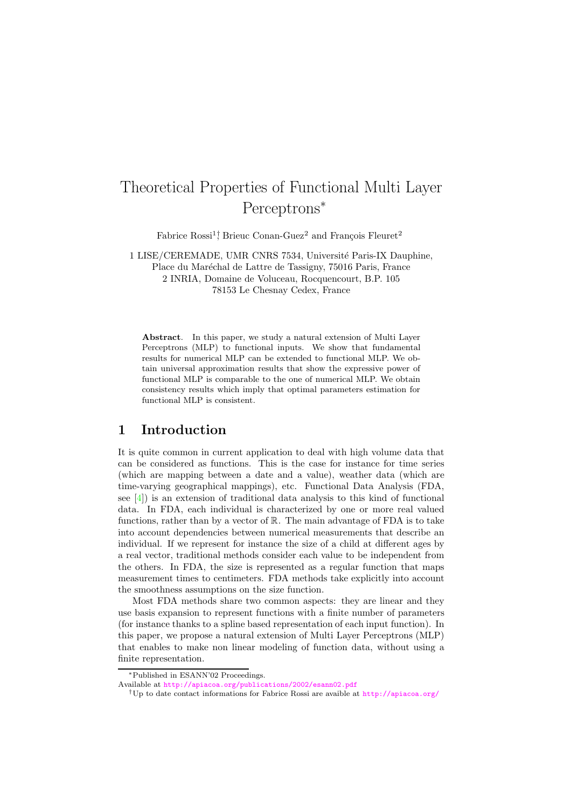# Theoretical Properties of Functional Multi Layer Perceptrons<sup>∗</sup>

Fabrice  $\text{Rossi}^{1}$ ; Brieuc Conan-Guez<sup>2</sup> and François Fleuret<sup>2</sup>

1 LISE/CEREMADE, UMR CNRS 7534, Université Paris-IX Dauphine, Place du Maréchal de Lattre de Tassigny, 75016 Paris, France

2 INRIA, Domaine de Voluceau, Rocquencourt, B.P. 105 78153 Le Chesnay Cedex, France

Abstract. In this paper, we study a natural extension of Multi Layer Perceptrons (MLP) to functional inputs. We show that fundamental results for numerical MLP can be extended to functional MLP. We obtain universal approximation results that show the expressive power of functional MLP is comparable to the one of numerical MLP. We obtain consistency results which imply that optimal parameters estimation for functional MLP is consistent.

# 1 Introduction

It is quite common in current application to deal with high volume data that can be considered as functions. This is the case for instance for time series (which are mapping between a date and a value), weather data (which are time-varying geographical mappings), etc. Functional Data Analysis (FDA, see [\[4\]](#page-5-0)) is an extension of traditional data analysis to this kind of functional data. In FDA, each individual is characterized by one or more real valued functions, rather than by a vector of R. The main advantage of FDA is to take into account dependencies between numerical measurements that describe an individual. If we represent for instance the size of a child at different ages by a real vector, traditional methods consider each value to be independent from the others. In FDA, the size is represented as a regular function that maps measurement times to centimeters. FDA methods take explicitly into account the smoothness assumptions on the size function.

Most FDA methods share two common aspects: they are linear and they use basis expansion to represent functions with a finite number of parameters (for instance thanks to a spline based representation of each input function). In this paper, we propose a natural extension of Multi Layer Perceptrons (MLP) that enables to make non linear modeling of function data, without using a finite representation.

<sup>∗</sup>Published in ESANN'02 Proceedings.

Available at <http://apiacoa.org/publications/2002/esann02.pdf>

<sup>&</sup>lt;sup>†</sup>Up to date contact informations for Fabrice Rossi are avaible at <http://apiacoa.org/>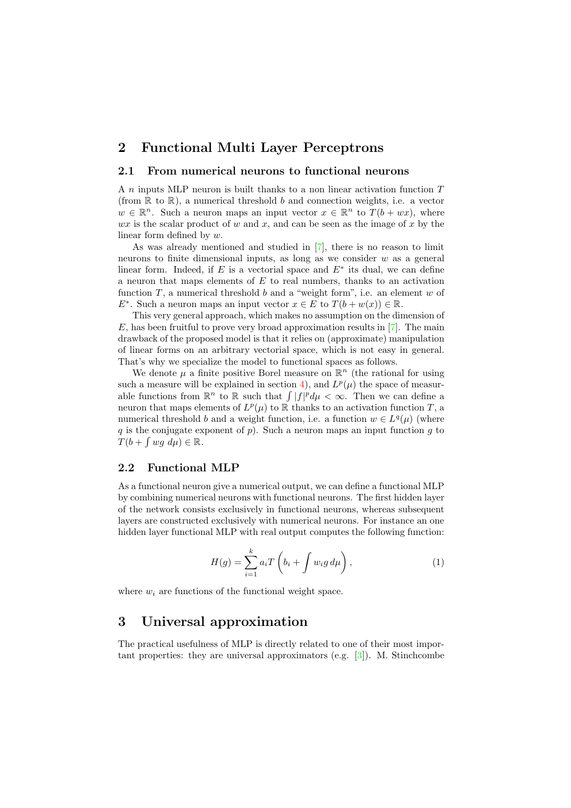## 2 Functional Multi Layer Perceptrons

#### 2.1 From numerical neurons to functional neurons

A n inputs MLP neuron is built thanks to a non linear activation function T (from  $\mathbb R$  to  $\mathbb R$ ), a numerical threshold b and connection weights, i.e. a vector  $w \in \mathbb{R}^n$ . Such a neuron maps an input vector  $x \in \mathbb{R}^n$  to  $T(b + wx)$ , where  $wx$  is the scalar product of w and x, and can be seen as the image of x by the linear form defined by w.

As was already mentioned and studied in [\[7\]](#page-5-1), there is no reason to limit neurons to finite dimensional inputs, as long as we consider  $w$  as a general linear form. Indeed, if  $E$  is a vectorial space and  $E^*$  its dual, we can define a neuron that maps elements of  $E$  to real numbers, thanks to an activation function  $T$ , a numerical threshold  $b$  and a "weight form", i.e. an element  $w$  of  $E^*$ . Such a neuron maps an input vector  $x \in E$  to  $T(b + w(x)) \in \mathbb{R}$ .

This very general approach, which makes no assumption on the dimension of  $E$ , has been fruitful to prove very broad approximation results in [\[7\]](#page-5-1). The main drawback of the proposed model is that it relies on (approximate) manipulation of linear forms on an arbitrary vectorial space, which is not easy in general. That's why we specialize the model to functional spaces as follows.

We denote  $\mu$  a finite positive Borel measure on  $\mathbb{R}^n$  (the rational for using such a measure will be explained in section [4\)](#page-3-0), and  $L^p(\mu)$  the space of measurable functions from  $\mathbb{R}^n$  to  $\mathbb R$  such that  $\int |f|^p d\mu < \infty$ . Then we can define a neuron that maps elements of  $L^p(\mu)$  to  $\mathbb R$  thanks to an activation function T, a numerical threshold b and a weight function, i.e. a function  $w \in L^q(\mu)$  (where q is the conjugate exponent of  $p$ ). Such a neuron maps an input function  $g$  to  $T(b + \int wg \, d\mu) \in \mathbb{R}.$ 

#### 2.2 Functional MLP

As a functional neuron give a numerical output, we can define a functional MLP by combining numerical neurons with functional neurons. The first hidden layer of the network consists exclusively in functional neurons, whereas subsequent layers are constructed exclusively with numerical neurons. For instance an one hidden layer functional MLP with real output computes the following function:

$$
H(g) = \sum_{i=1}^{k} a_i T\left(b_i + \int w_i g \, d\mu\right), \tag{1}
$$

where  $w_i$  are functions of the functional weight space.

# 3 Universal approximation

The practical usefulness of MLP is directly related to one of their most important properties: they are universal approximators  $(e.g. [3])$  $(e.g. [3])$  $(e.g. [3])$ . M. Stinchcombe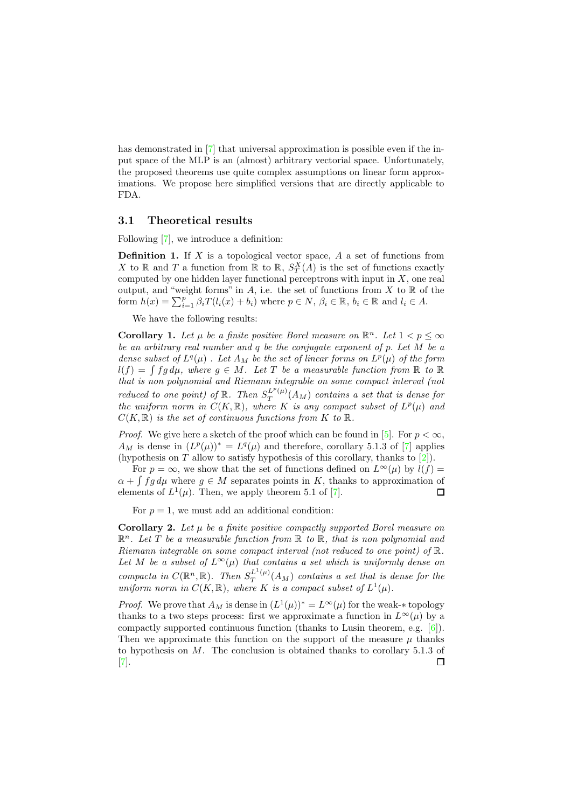has demonstrated in [\[7\]](#page-5-1) that universal approximation is possible even if the input space of the MLP is an (almost) arbitrary vectorial space. Unfortunately, the proposed theorems use quite complex assumptions on linear form approximations. We propose here simplified versions that are directly applicable to FDA.

#### 3.1 Theoretical results

Following [\[7\]](#page-5-1), we introduce a definition:

**Definition 1.** If  $X$  is a topological vector space,  $A$  a set of functions from X to  $\mathbb R$  and T a function from  $\mathbb R$  to  $\mathbb R$ ,  $S_T^X(A)$  is the set of functions exactly computed by one hidden layer functional perceptrons with input in  $X$ , one real output, and "weight forms" in A, i.e. the set of functions from X to  $\mathbb R$  of the form  $h(x) = \sum_{i=1}^{p} \beta_i T(l_i(x) + b_i)$  where  $p \in N$ ,  $\beta_i \in \mathbb{R}$ ,  $b_i \in \mathbb{R}$  and  $l_i \in A$ .

We have the following results:

<span id="page-2-0"></span>**Corollary 1.** Let  $\mu$  be a finite positive Borel measure on  $\mathbb{R}^n$ . Let  $1 < p \leq \infty$ be an arbitrary real number and q be the conjugate exponent of p. Let M be a dense subset of  $L^q(\mu)$ . Let  $A_M$  be the set of linear forms on  $L^p(\mu)$  of the form  $l(f) = \int fg \, d\mu$ , where  $g \in M$ . Let T be a measurable function from R to R that is non polynomial and Riemann integrable on some compact interval (not reduced to one point) of  $\mathbb{R}$ . Then  $S_T^{L^p(\mu)}$  $T^{L^{*}(\mu)}(A_M)$  contains a set that is dense for the uniform norm in  $C(K,\mathbb{R})$ , where K is any compact subset of  $L^p(\mu)$  and  $C(K, \mathbb{R})$  is the set of continuous functions from K to  $\mathbb{R}$ .

*Proof.* We give here a sketch of the proof which can be found in [\[5\]](#page-5-3). For  $p < \infty$ ,  $A_M$  is dense in  $(L^p(\mu))^* = L^q(\mu)$  and therefore, corollary 5.1.3 of [\[7\]](#page-5-1) applies (hypothesis on  $T$  allow to satisfy hypothesis of this corollary, thanks to  $[2]$ ).

For  $p = \infty$ , we show that the set of functions defined on  $L^{\infty}(\mu)$  by  $l(f) =$  $\alpha + \int f g d\mu$  where  $g \in M$  separates points in K, thanks to approximation of elements of  $L^1(\mu)$ . Then, we apply theorem 5.1 of [\[7\]](#page-5-1).  $\Box$ 

For  $p = 1$ , we must add an additional condition:

<span id="page-2-1"></span>**Corollary 2.** Let  $\mu$  be a finite positive compactly supported Borel measure on  $\mathbb{R}^n$ . Let T be a measurable function from  $\mathbb{R}$  to  $\mathbb{R}$ , that is non polynomial and Riemann integrable on some compact interval (not reduced to one point) of R. Let M be a subset of  $L^{\infty}(\mu)$  that contains a set which is uniformly dense on compacta in  $C(\mathbb{R}^n, \mathbb{R})$ . Then  $S_T^{L^1(\mu)}$  $T^{L^-(\mu)}(A_M)$  contains a set that is dense for the uniform norm in  $C(K, \mathbb{R})$ , where K is a compact subset of  $L^1(\mu)$ .

*Proof.* We prove that  $A_M$  is dense in  $(L^1(\mu))^* = L^\infty(\mu)$  for the weak-\* topology thanks to a two steps process: first we approximate a function in  $L^{\infty}(\mu)$  by a compactly supported continuous function (thanks to Lusin theorem, e.g. [\[6\]](#page-5-5)). Then we approximate this function on the support of the measure  $\mu$  thanks to hypothesis on M. The conclusion is obtained thanks to corollary 5.1.3 of  $\Box$ [\[7\]](#page-5-1).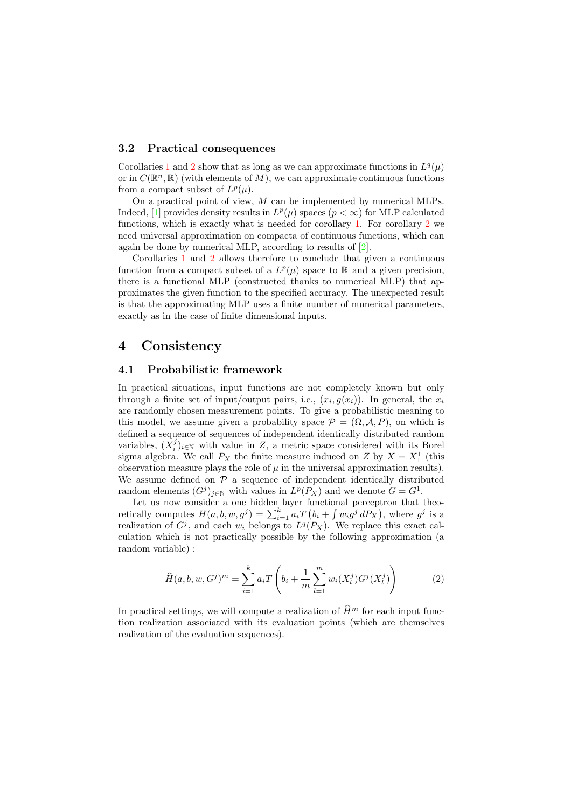#### <span id="page-3-1"></span>3.2 Practical consequences

Corollaries [1](#page-2-0) and [2](#page-2-1) show that as long as we can approximate functions in  $L^q(\mu)$ or in  $C(\mathbb{R}^n,\mathbb{R})$  (with elements of M), we can approximate continuous functions from a compact subset of  $L^p(\mu)$ .

On a practical point of view,  $M$  can be implemented by numerical MLPs. Indeed, [\[1\]](#page-5-6) provides density results in  $L^p(\mu)$  spaces  $(p < \infty)$  for MLP calculated functions, which is exactly what is needed for corollary [1.](#page-2-0) For corollary [2](#page-2-1) we need universal approximation on compacta of continuous functions, which can again be done by numerical MLP, according to results of [\[2\]](#page-5-4).

Corollaries [1](#page-2-0) and [2](#page-2-1) allows therefore to conclude that given a continuous function from a compact subset of a  $L^p(\mu)$  space to R and a given precision, there is a functional MLP (constructed thanks to numerical MLP) that approximates the given function to the specified accuracy. The unexpected result is that the approximating MLP uses a finite number of numerical parameters, exactly as in the case of finite dimensional inputs.

### <span id="page-3-0"></span>4 Consistency

#### 4.1 Probabilistic framework

In practical situations, input functions are not completely known but only through a finite set of input/output pairs, i.e.,  $(x_i, g(x_i))$ . In general, the  $x_i$ are randomly chosen measurement points. To give a probabilistic meaning to this model, we assume given a probability space  $\mathcal{P} = (\Omega, \mathcal{A}, P)$ , on which is defined a sequence of sequences of independent identically distributed random variables,  $(X_i^j)_{i\in\mathbb{N}}$  with value in Z, a metric space considered with its Borel sigma algebra. We call  $P_X$  the finite measure induced on Z by  $X = X_1^1$  (this observation measure plays the role of  $\mu$  in the universal approximation results). We assume defined on  $P$  a sequence of independent identically distributed random elements  $(G<sup>j</sup>)<sub>j\in\mathbb{N}</sub>$  with values in  $L^p(P_X)$  and we denote  $G = G<sup>1</sup>$ .

Let us now consider a one hidden layer functional perceptron that theoretically computes  $H(a, b, w, g^j) = \sum_{i=1}^k a_i T(b_i + \int w_i g^j dP_x)$ , where  $g^j$  is a realization of  $G^j$ , and each  $w_i$  belongs to  $L^q(P_X)$ . We replace this exact calculation which is not practically possible by the following approximation (a random variable) :

$$
\widehat{H}(a, b, w, G^j)^m = \sum_{i=1}^k a_i T\left(b_i + \frac{1}{m} \sum_{l=1}^m w_i (X_l^j) G^j (X_l^j)\right)
$$
(2)

<span id="page-3-2"></span>In practical settings, we will compute a realization of  $\widehat{H}^m$  for each input function realization associated with its evaluation points (which are themselves realization of the evaluation sequences).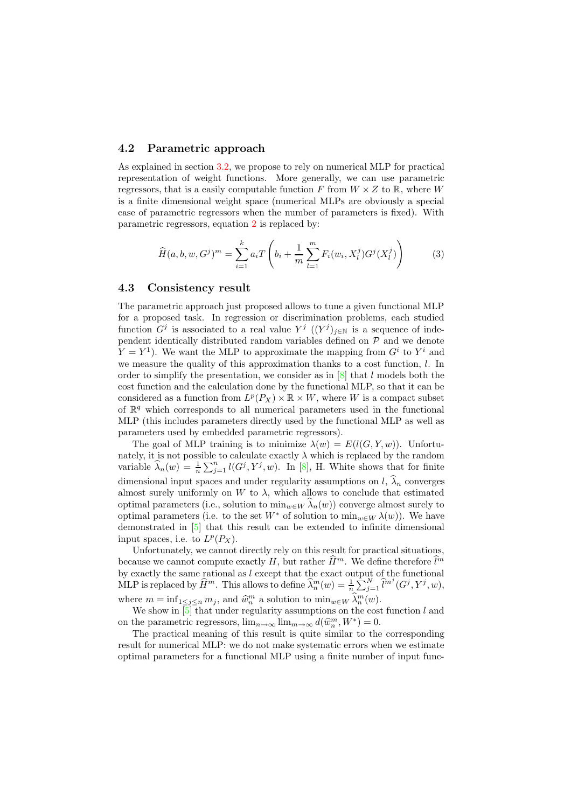#### 4.2 Parametric approach

As explained in section [3.2,](#page-3-1) we propose to rely on numerical MLP for practical representation of weight functions. More generally, we can use parametric regressors, that is a easily computable function F from  $W \times Z$  to R, where W is a finite dimensional weight space (numerical MLPs are obviously a special case of parametric regressors when the number of parameters is fixed). With parametric regressors, equation [2](#page-3-2) is replaced by:

$$
\widehat{H}(a,b,w,G^j)^m = \sum_{i=1}^k a_i T\left(b_i + \frac{1}{m} \sum_{l=1}^m F_i(w_i, X_l^j) G^j(X_l^j)\right)
$$
(3)

#### 4.3 Consistency result

The parametric approach just proposed allows to tune a given functional MLP for a proposed task. In regression or discrimination problems, each studied function  $G^j$  is associated to a real value  $Y^j$   $((Y^j)_{j\in\mathbb{N}})$  is a sequence of independent identically distributed random variables defined on  $P$  and we denote  $Y = Y<sup>1</sup>$ ). We want the MLP to approximate the mapping from  $G<sup>i</sup>$  to  $Y<sup>i</sup>$  and we measure the quality of this approximation thanks to a cost function, l. In order to simplify the presentation, we consider as in  $[8]$  that l models both the cost function and the calculation done by the functional MLP, so that it can be considered as a function from  $L^p(P_X) \times \mathbb{R} \times W$ , where W is a compact subset of  $\mathbb{R}^q$  which corresponds to all numerical parameters used in the functional MLP (this includes parameters directly used by the functional MLP as well as parameters used by embedded parametric regressors).

The goal of MLP training is to minimize  $\lambda(w) = E(l(G, Y, w))$ . Unfortunately, it is not possible to calculate exactly  $\lambda$  which is replaced by the random variable  $\widehat{\lambda}_n(w) = \frac{1}{n} \sum_{j=1}^n l(G^j, Y^j, w)$ . In [\[8\]](#page-5-7), H. White shows that for finite dimensional input spaces and under regularity assumptions on  $l, \hat{\lambda}_n$  converges almost surely uniformly on  $W$  to  $\lambda$ , which allows to conclude that estimated optimal parameters (i.e., solution to  $\min_{w \in W} \widehat{\lambda}_n(w)$ ) converge almost surely to optimal parameters (i.e. to the set  $W^*$  of solution to  $\min_{w \in W} \lambda(w)$ ). We have demonstrated in [\[5\]](#page-5-3) that this result can be extended to infinite dimensional input spaces, i.e. to  $L^p(P_X)$ .

Unfortunately, we cannot directly rely on this result for practical situations, because we cannot compute exactly  $H$ , but rather  $\widehat{H}^m$ . We define therefore  $\widehat{l}^m$ by exactly the same rational as  $l$  except that the exact output of the functional MLP is replaced by  $\widehat{H}^m$ . This allows to define  $\widehat{\lambda}_n^m(w) = \frac{1}{n} \sum_{j=1}^N \widehat{l}^{m^j} (G^j, Y^j, w)$ , where  $m = \inf_{1 \leq j \leq n} m_j$ , and  $\hat{w}_m^m$  a solution to  $\min_{w \in W} \hat{\lambda}_m^m(w)$ .

We show in  $[5]$  that under regularity assumptions on the cost function  $l$  and on the parametric regressors,  $\lim_{n\to\infty} \lim_{m\to\infty} d(\hat{w}_n^m, W^*) = 0$ .<br>The number of this number is write similar to the

The practical meaning of this result is quite similar to the corresponding result for numerical MLP: we do not make systematic errors when we estimate optimal parameters for a functional MLP using a finite number of input func